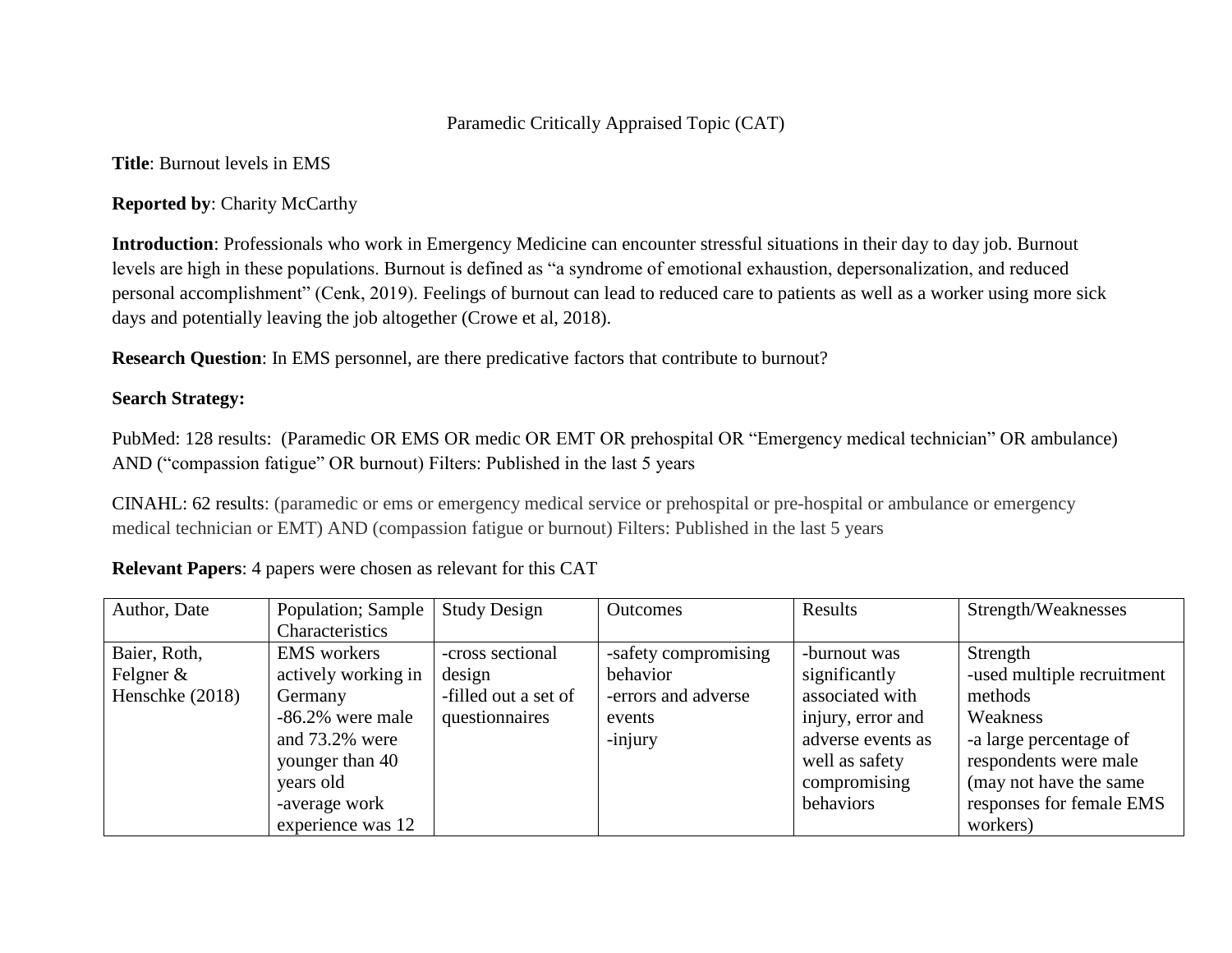## Paramedic Critically Appraised Topic (CAT)

**Title**: Burnout levels in EMS

**Reported by**: Charity McCarthy

**Introduction**: Professionals who work in Emergency Medicine can encounter stressful situations in their day to day job. Burnout levels are high in these populations. Burnout is defined as "a syndrome of emotional exhaustion, depersonalization, and reduced personal accomplishment" (Cenk, 2019). Feelings of burnout can lead to reduced care to patients as well as a worker using more sick days and potentially leaving the job altogether (Crowe et al, 2018).

**Research Question**: In EMS personnel, are there predicative factors that contribute to burnout?

## **Search Strategy:**

PubMed: 128 results: (Paramedic OR EMS OR medic OR EMT OR prehospital OR "Emergency medical technician" OR ambulance) AND ("compassion fatigue" OR burnout) Filters: Published in the last 5 years

CINAHL: 62 results: (paramedic or ems or emergency medical service or prehospital or pre-hospital or ambulance or emergency medical technician or EMT) AND (compassion fatigue or burnout) Filters: Published in the last 5 years

| Author, Date    | Population; Sample  | <b>Study Design</b>  | <b>Outcomes</b>      | Results           | Strength/Weaknesses        |
|-----------------|---------------------|----------------------|----------------------|-------------------|----------------------------|
|                 | Characteristics     |                      |                      |                   |                            |
| Baier, Roth,    | <b>EMS</b> workers  | -cross sectional     | -safety compromising | -burnout was      | Strength                   |
| Felgner $\&$    | actively working in | design               | behavior             | significantly     | -used multiple recruitment |
| Henschke (2018) | Germany             | -filled out a set of | -errors and adverse  | associated with   | methods                    |
|                 | $-86.2\%$ were male | questionnaires       | events               | injury, error and | Weakness                   |
|                 | and 73.2% were      |                      | -injury              | adverse events as | -a large percentage of     |
|                 | younger than 40     |                      |                      | well as safety    | respondents were male      |
|                 | years old           |                      |                      | compromising      | (may not have the same)    |
|                 | -average work       |                      |                      | behaviors         | responses for female EMS   |
|                 | experience was 12   |                      |                      |                   | workers)                   |

**Relevant Papers**: 4 papers were chosen as relevant for this CAT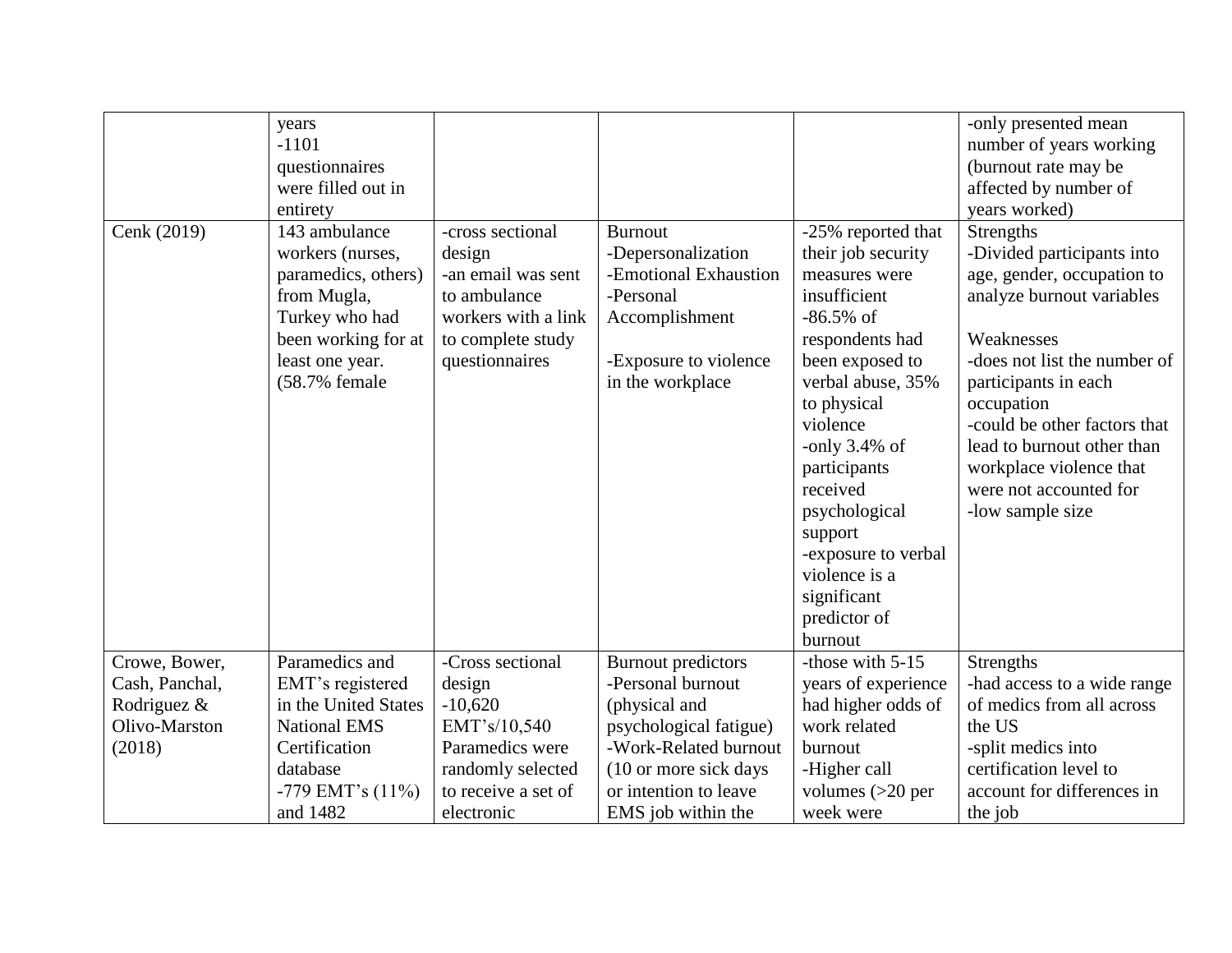| Cenk (2019)                                                               | years<br>$-1101$<br>questionnaires<br>were filled out in<br>entirety<br>143 ambulance<br>workers (nurses,<br>paramedics, others)<br>from Mugla,<br>Turkey who had<br>been working for at<br>least one year. | -cross sectional<br>design<br>-an email was sent<br>to ambulance<br>workers with a link<br>to complete study<br>questionnaires       | <b>Burnout</b><br>-Depersonalization<br>-Emotional Exhaustion<br>-Personal<br>Accomplishment<br>-Exposure to violence                                                                       | -25% reported that<br>their job security<br>measures were<br>insufficient<br>$-86.5\%$ of<br>respondents had<br>been exposed to                                                                            | -only presented mean<br>number of years working<br>(burnout rate may be<br>affected by number of<br>years worked)<br>Strengths<br>-Divided participants into<br>age, gender, occupation to<br>analyze burnout variables<br>Weaknesses<br>-does not list the number of |
|---------------------------------------------------------------------------|-------------------------------------------------------------------------------------------------------------------------------------------------------------------------------------------------------------|--------------------------------------------------------------------------------------------------------------------------------------|---------------------------------------------------------------------------------------------------------------------------------------------------------------------------------------------|------------------------------------------------------------------------------------------------------------------------------------------------------------------------------------------------------------|-----------------------------------------------------------------------------------------------------------------------------------------------------------------------------------------------------------------------------------------------------------------------|
|                                                                           | (58.7% female                                                                                                                                                                                               |                                                                                                                                      | in the workplace                                                                                                                                                                            | verbal abuse, 35%<br>to physical<br>violence<br>-only $3.4\%$ of<br>participants<br>received<br>psychological<br>support<br>-exposure to verbal<br>violence is a<br>significant<br>predictor of<br>burnout | participants in each<br>occupation<br>-could be other factors that<br>lead to burnout other than<br>workplace violence that<br>were not accounted for<br>-low sample size                                                                                             |
| Crowe, Bower,<br>Cash, Panchal,<br>Rodriguez &<br>Olivo-Marston<br>(2018) | Paramedics and<br>EMT's registered<br>in the United States<br><b>National EMS</b><br>Certification<br>database<br>-779 EMT's (11%)<br>and 1482                                                              | -Cross sectional<br>design<br>$-10,620$<br>EMT's/10,540<br>Paramedics were<br>randomly selected<br>to receive a set of<br>electronic | <b>Burnout</b> predictors<br>-Personal burnout<br>(physical and<br>psychological fatigue)<br>-Work-Related burnout<br>(10 or more sick days)<br>or intention to leave<br>EMS job within the | -those with $5-15$<br>years of experience<br>had higher odds of<br>work related<br>burnout<br>-Higher call<br>volumes $(>20$ per<br>week were                                                              | <b>Strengths</b><br>-had access to a wide range<br>of medics from all across<br>the US<br>-split medics into<br>certification level to<br>account for differences in<br>the job                                                                                       |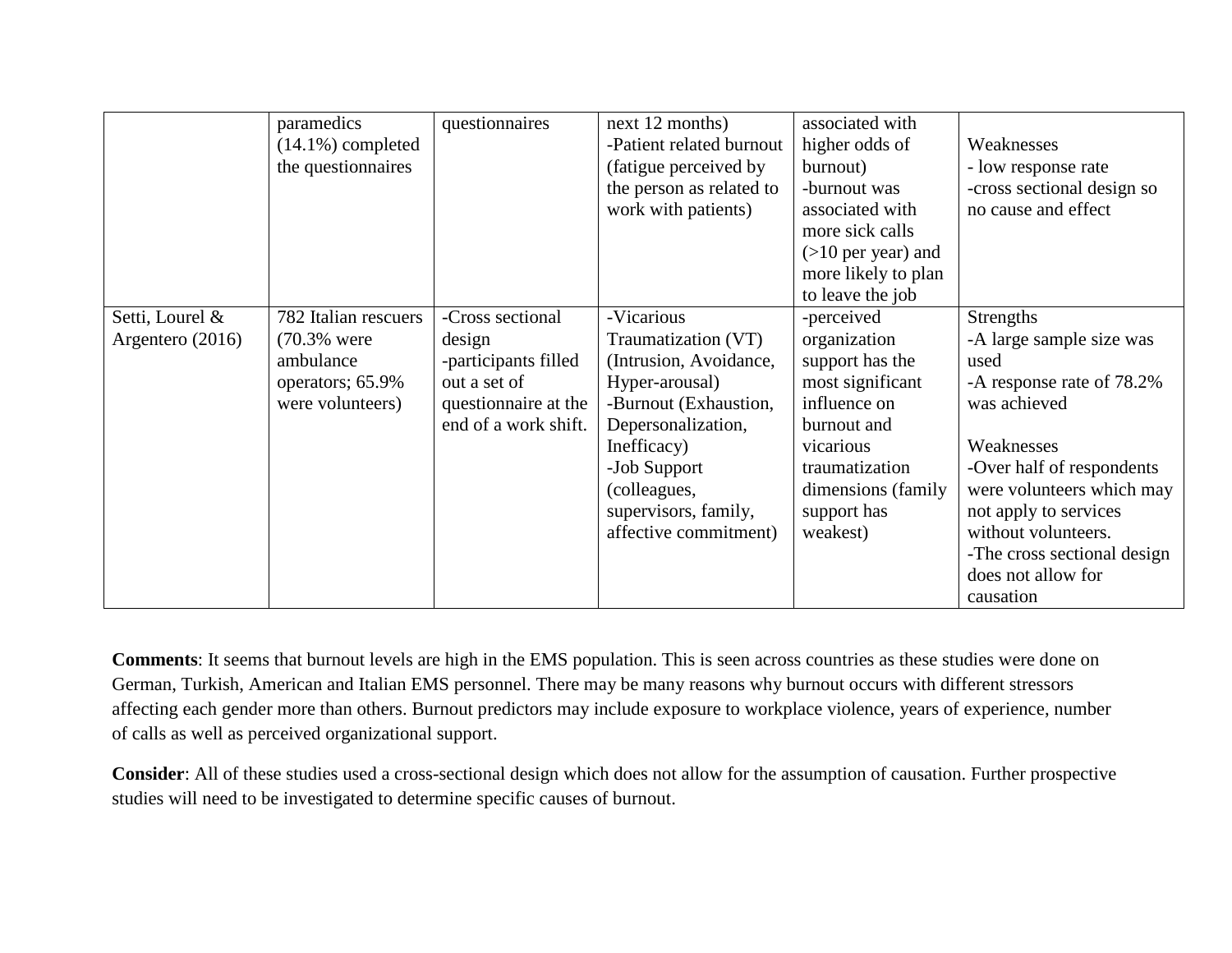|                  | paramedics           | questionnaires       | next 12 months)          | associated with      |                             |
|------------------|----------------------|----------------------|--------------------------|----------------------|-----------------------------|
|                  | $(14.1\%)$ completed |                      | -Patient related burnout | higher odds of       | Weaknesses                  |
|                  | the questionnaires   |                      | (fatigue perceived by    | burnout)             | - low response rate         |
|                  |                      |                      | the person as related to | -burnout was         | -cross sectional design so  |
|                  |                      |                      | work with patients)      | associated with      | no cause and effect         |
|                  |                      |                      |                          | more sick calls      |                             |
|                  |                      |                      |                          | $(>10$ per year) and |                             |
|                  |                      |                      |                          | more likely to plan  |                             |
|                  |                      |                      |                          | to leave the job     |                             |
| Setti, Lourel &  | 782 Italian rescuers | -Cross sectional     | -Vicarious               | -perceived           | Strengths                   |
| Argentero (2016) | (70.3% were          | design               | Traumatization (VT)      | organization         | -A large sample size was    |
|                  | ambulance            | -participants filled | (Intrusion, Avoidance,   | support has the      | used                        |
|                  | operators; 65.9%     | out a set of         | Hyper-arousal)           | most significant     | -A response rate of 78.2%   |
|                  | were volunteers)     | questionnaire at the | -Burnout (Exhaustion,    | influence on         | was achieved                |
|                  |                      | end of a work shift. | Depersonalization,       | burnout and          |                             |
|                  |                      |                      | Inefficacy)              | vicarious            | Weaknesses                  |
|                  |                      |                      | -Job Support             | traumatization       | -Over half of respondents   |
|                  |                      |                      | (colleagues,             | dimensions (family)  | were volunteers which may   |
|                  |                      |                      | supervisors, family,     | support has          | not apply to services       |
|                  |                      |                      | affective commitment)    | weakest)             | without volunteers.         |
|                  |                      |                      |                          |                      | -The cross sectional design |
|                  |                      |                      |                          |                      | does not allow for          |
|                  |                      |                      |                          |                      | causation                   |

**Comments**: It seems that burnout levels are high in the EMS population. This is seen across countries as these studies were done on German, Turkish, American and Italian EMS personnel. There may be many reasons why burnout occurs with different stressors affecting each gender more than others. Burnout predictors may include exposure to workplace violence, years of experience, number of calls as well as perceived organizational support.

**Consider**: All of these studies used a cross-sectional design which does not allow for the assumption of causation. Further prospective studies will need to be investigated to determine specific causes of burnout.